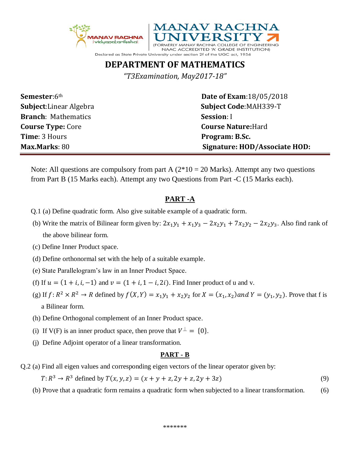



## **DEPARTMENT OF MATHEMATICS**

*"T3Examination, May2017-18"*

| <b>Semester:</b> 6th           |
|--------------------------------|
| <b>Subject:</b> Linear Algebra |
| <b>Branch:</b> Mathematics     |
| <b>Course Type: Core</b>       |
| <b>Time: 3 Hours</b>           |
| Max.Marks: 80                  |

**Semester**:6th **Date of Exam**:18/05/2018 **Subject Code:MAH339-T Session**: I **Course Nature:** Hard **Program: B.Sc. Max.Marks**: 80 **Signature: HOD/Associate HOD:**

Note: All questions are compulsory from part A  $(2*10 = 20$  Marks). Attempt any two questions from Part B (15 Marks each). Attempt any two Questions from Part -C (15 Marks each).

## **PART -A**

- Q.1 (a) Define quadratic form. Also give suitable example of a quadratic form.
- (b) Write the matrix of Bilinear form given by:  $2x_1y_1 + x_1y_3 2x_2y_1 + 7x_2y_2 2x_2y_3$ . Also find rank of the above bilinear form.
- (c) Define Inner Product space.
- (d) Define orthonormal set with the help of a suitable example.
- (e) State Parallelogram's law in an Inner Product Space.
- (f) If  $u = (1 + i, i, -1)$  and  $v = (1 + i, 1 i, 2i)$ . Find Inner product of u and v.
- (g) If  $f: R^2 \times R^2 \to R$  defined by  $f(X, Y) = x_1y_1 + x_2y_2$  for  $X = (x_1, x_2)$  and  $Y = (y_1, y_2)$ . Prove that f is a Bilinear form.
	- (h) Define Orthogonal complement of an Inner Product space.
- (i) If V(F) is an inner product space, then prove that  $V^{\perp} = \{0\}$ .
	- (j) Define Adjoint operator of a linear transformation.

## **PART - B**

Q.2 (a) Find all eigen values and corresponding eigen vectors of the linear operator given by:

 $T: R^3 \to R^3$  defined by  $T(x, y, z) = (x + y + z, 2y + z, 2y + 3z)$  (9)

(b) Prove that a quadratic form remains a quadratic form when subjected to a linear transformation. (6)